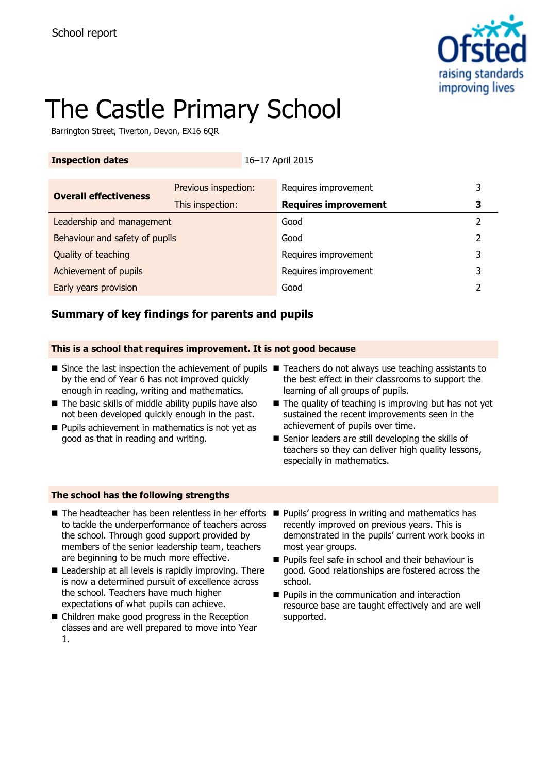

# The Castle Primary School

Barrington Street, Tiverton, Devon, EX16 6QR

| <b>Inspection dates</b>        |                      | 16-17 April 2015     |                             |   |   |
|--------------------------------|----------------------|----------------------|-----------------------------|---|---|
|                                |                      |                      |                             |   |   |
| <b>Overall effectiveness</b>   | Previous inspection: |                      | Requires improvement        |   | 3 |
|                                | This inspection:     |                      | <b>Requires improvement</b> |   | 3 |
| Leadership and management      |                      | Good                 |                             | 2 |   |
| Behaviour and safety of pupils |                      | Good                 |                             | 2 |   |
| Quality of teaching            |                      | Requires improvement |                             | 3 |   |
| Achievement of pupils          |                      |                      | Requires improvement        |   | 3 |
| Early years provision          |                      | Good                 |                             |   |   |

# **Summary of key findings for parents and pupils**

### **This is a school that requires improvement. It is not good because**

- Since the last inspection the achievement of pupils Teachers do not always use teaching assistants to by the end of Year 6 has not improved quickly enough in reading, writing and mathematics.
- The basic skills of middle ability pupils have also not been developed quickly enough in the past.
- **Pupils achievement in mathematics is not yet as** good as that in reading and writing.
- the best effect in their classrooms to support the learning of all groups of pupils.
- The quality of teaching is improving but has not yet sustained the recent improvements seen in the achievement of pupils over time.
- Senior leaders are still developing the skills of teachers so they can deliver high quality lessons, especially in mathematics.

### **The school has the following strengths**

- $\blacksquare$  The headteacher has been relentless in her efforts  $\blacksquare$ to tackle the underperformance of teachers across the school. Through good support provided by members of the senior leadership team, teachers are beginning to be much more effective.
- Leadership at all levels is rapidly improving. There is now a determined pursuit of excellence across the school. Teachers have much higher expectations of what pupils can achieve.
- Children make good progress in the Reception classes and are well prepared to move into Year 1.
- Pupils' progress in writing and mathematics has recently improved on previous years. This is demonstrated in the pupils' current work books in most year groups.
- **Pupils feel safe in school and their behaviour is** good. Good relationships are fostered across the school.
- **Pupils in the communication and interaction** resource base are taught effectively and are well supported.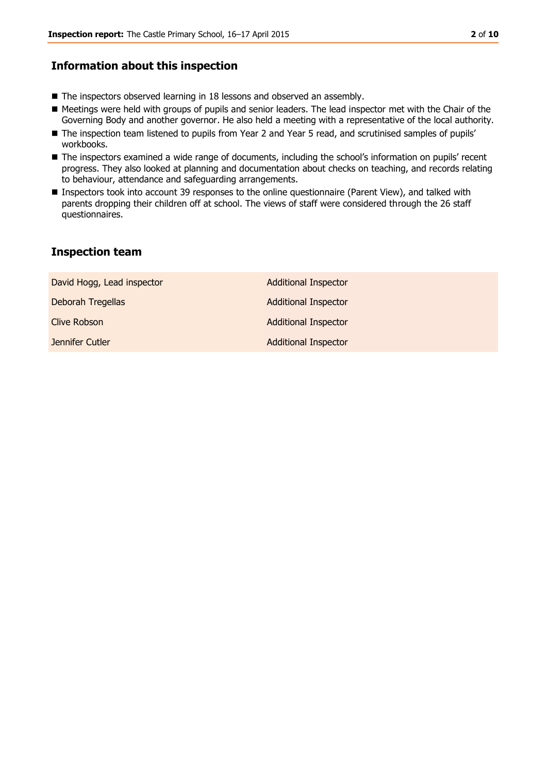## **Information about this inspection**

- The inspectors observed learning in 18 lessons and observed an assembly.
- Meetings were held with groups of pupils and senior leaders. The lead inspector met with the Chair of the Governing Body and another governor. He also held a meeting with a representative of the local authority.
- The inspection team listened to pupils from Year 2 and Year 5 read, and scrutinised samples of pupils' workbooks.
- The inspectors examined a wide range of documents, including the school's information on pupils' recent progress. They also looked at planning and documentation about checks on teaching, and records relating to behaviour, attendance and safeguarding arrangements.
- Inspectors took into account 39 responses to the online questionnaire (Parent View), and talked with parents dropping their children off at school. The views of staff were considered through the 26 staff questionnaires.

# **Inspection team**

| David Hogg, Lead inspector | <b>Additional Inspector</b> |
|----------------------------|-----------------------------|
| Deborah Tregellas          | <b>Additional Inspector</b> |
| Clive Robson               | <b>Additional Inspector</b> |
| Jennifer Cutler            | <b>Additional Inspector</b> |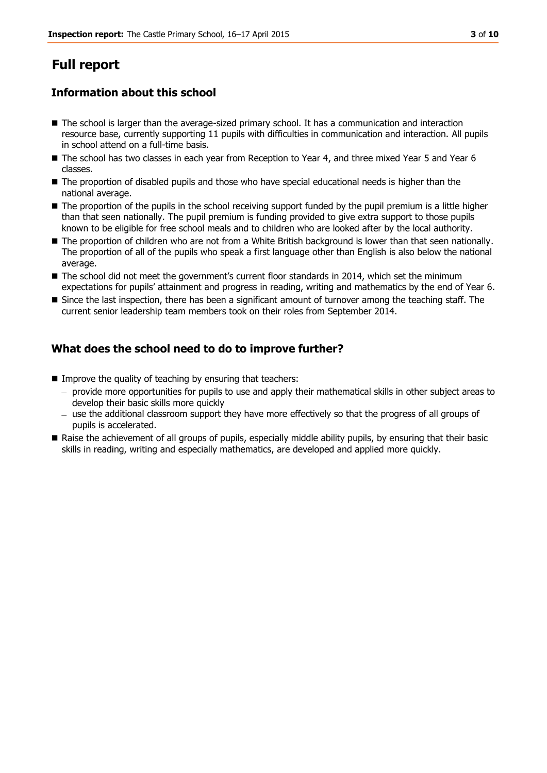# **Full report**

# **Information about this school**

- The school is larger than the average-sized primary school. It has a communication and interaction resource base, currently supporting 11 pupils with difficulties in communication and interaction. All pupils in school attend on a full-time basis.
- The school has two classes in each year from Reception to Year 4, and three mixed Year 5 and Year 6 classes.
- The proportion of disabled pupils and those who have special educational needs is higher than the national average.
- The proportion of the pupils in the school receiving support funded by the pupil premium is a little higher than that seen nationally. The pupil premium is funding provided to give extra support to those pupils known to be eligible for free school meals and to children who are looked after by the local authority.
- The proportion of children who are not from a White British background is lower than that seen nationally. The proportion of all of the pupils who speak a first language other than English is also below the national average.
- The school did not meet the government's current floor standards in 2014, which set the minimum expectations for pupils' attainment and progress in reading, writing and mathematics by the end of Year 6.
- Since the last inspection, there has been a significant amount of turnover among the teaching staff. The current senior leadership team members took on their roles from September 2014.

# **What does the school need to do to improve further?**

- $\blacksquare$  Improve the quality of teaching by ensuring that teachers:
	- provide more opportunities for pupils to use and apply their mathematical skills in other subject areas to develop their basic skills more quickly
	- $-$  use the additional classroom support they have more effectively so that the progress of all groups of pupils is accelerated.
- Raise the achievement of all groups of pupils, especially middle ability pupils, by ensuring that their basic skills in reading, writing and especially mathematics, are developed and applied more quickly.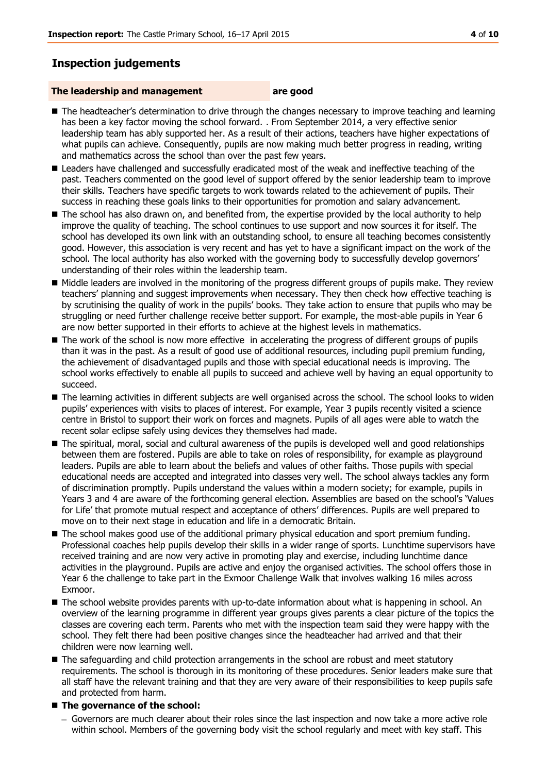# **Inspection judgements**

#### **The leadership and management are good**

- The headteacher's determination to drive through the changes necessary to improve teaching and learning has been a key factor moving the school forward. . From September 2014, a very effective senior leadership team has ably supported her. As a result of their actions, teachers have higher expectations of what pupils can achieve. Consequently, pupils are now making much better progress in reading, writing and mathematics across the school than over the past few years.
- **E** Leaders have challenged and successfully eradicated most of the weak and ineffective teaching of the past. Teachers commented on the good level of support offered by the senior leadership team to improve their skills. Teachers have specific targets to work towards related to the achievement of pupils. Their success in reaching these goals links to their opportunities for promotion and salary advancement.
- The school has also drawn on, and benefited from, the expertise provided by the local authority to help improve the quality of teaching. The school continues to use support and now sources it for itself. The school has developed its own link with an outstanding school, to ensure all teaching becomes consistently good. However, this association is very recent and has yet to have a significant impact on the work of the school. The local authority has also worked with the governing body to successfully develop governors' understanding of their roles within the leadership team.
- $\blacksquare$  Middle leaders are involved in the monitoring of the progress different groups of pupils make. They review teachers' planning and suggest improvements when necessary. They then check how effective teaching is by scrutinising the quality of work in the pupils' books. They take action to ensure that pupils who may be struggling or need further challenge receive better support. For example, the most-able pupils in Year 6 are now better supported in their efforts to achieve at the highest levels in mathematics.
- The work of the school is now more effective in accelerating the progress of different groups of pupils than it was in the past. As a result of good use of additional resources, including pupil premium funding, the achievement of disadvantaged pupils and those with special educational needs is improving. The school works effectively to enable all pupils to succeed and achieve well by having an equal opportunity to succeed.
- The learning activities in different subjects are well organised across the school. The school looks to widen pupils' experiences with visits to places of interest. For example, Year 3 pupils recently visited a science centre in Bristol to support their work on forces and magnets. Pupils of all ages were able to watch the recent solar eclipse safely using devices they themselves had made.
- The spiritual, moral, social and cultural awareness of the pupils is developed well and good relationships between them are fostered. Pupils are able to take on roles of responsibility, for example as playground leaders. Pupils are able to learn about the beliefs and values of other faiths. Those pupils with special educational needs are accepted and integrated into classes very well. The school always tackles any form of discrimination promptly. Pupils understand the values within a modern society; for example, pupils in Years 3 and 4 are aware of the forthcoming general election. Assemblies are based on the school's 'Values for Life' that promote mutual respect and acceptance of others' differences. Pupils are well prepared to move on to their next stage in education and life in a democratic Britain.
- The school makes good use of the additional primary physical education and sport premium funding. Professional coaches help pupils develop their skills in a wider range of sports. Lunchtime supervisors have received training and are now very active in promoting play and exercise, including lunchtime dance activities in the playground. Pupils are active and enjoy the organised activities. The school offers those in Year 6 the challenge to take part in the Exmoor Challenge Walk that involves walking 16 miles across Exmoor.
- The school website provides parents with up-to-date information about what is happening in school. An overview of the learning programme in different year groups gives parents a clear picture of the topics the classes are covering each term. Parents who met with the inspection team said they were happy with the school. They felt there had been positive changes since the headteacher had arrived and that their children were now learning well.
- The safeguarding and child protection arrangements in the school are robust and meet statutory requirements. The school is thorough in its monitoring of these procedures. Senior leaders make sure that all staff have the relevant training and that they are very aware of their responsibilities to keep pupils safe and protected from harm.

### ■ The governance of the school:

Governors are much clearer about their roles since the last inspection and now take a more active role within school. Members of the governing body visit the school regularly and meet with key staff. This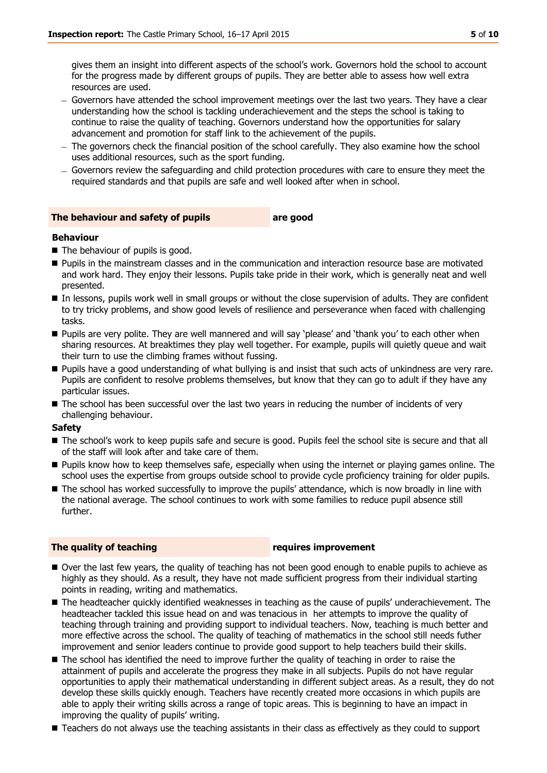gives them an insight into different aspects of the school's work. Governors hold the school to account for the progress made by different groups of pupils. They are better able to assess how well extra resources are used.

- Governors have attended the school improvement meetings over the last two years. They have a clear understanding how the school is tackling underachievement and the steps the school is taking to continue to raise the quality of teaching. Governors understand how the opportunities for salary advancement and promotion for staff link to the achievement of the pupils.
- The governors check the financial position of the school carefully. They also examine how the school uses additional resources, such as the sport funding.
- Governors review the safeguarding and child protection procedures with care to ensure they meet the required standards and that pupils are safe and well looked after when in school.

#### **The behaviour and safety of pupils are good**

#### **Behaviour**

- The behaviour of pupils is good.
- Pupils in the mainstream classes and in the communication and interaction resource base are motivated and work hard. They enjoy their lessons. Pupils take pride in their work, which is generally neat and well presented.
- In lessons, pupils work well in small groups or without the close supervision of adults. They are confident to try tricky problems, and show good levels of resilience and perseverance when faced with challenging tasks.
- **Pupils are very polite. They are well mannered and will say 'please' and 'thank you' to each other when** sharing resources. At breaktimes they play well together. For example, pupils will quietly queue and wait their turn to use the climbing frames without fussing.
- **Pupils have a good understanding of what bullying is and insist that such acts of unkindness are very rare.** Pupils are confident to resolve problems themselves, but know that they can go to adult if they have any particular issues.
- The school has been successful over the last two years in reducing the number of incidents of very challenging behaviour.

#### **Safety**

- The school's work to keep pupils safe and secure is good. Pupils feel the school site is secure and that all of the staff will look after and take care of them.
- **Pupils know how to keep themselves safe, especially when using the internet or playing games online. The** school uses the expertise from groups outside school to provide cycle proficiency training for older pupils.
- The school has worked successfully to improve the pupils' attendance, which is now broadly in line with the national average. The school continues to work with some families to reduce pupil absence still further.

#### **The quality of teaching The quality of teaching**

- Over the last few years, the quality of teaching has not been good enough to enable pupils to achieve as highly as they should. As a result, they have not made sufficient progress from their individual starting points in reading, writing and mathematics.
- The headteacher quickly identified weaknesses in teaching as the cause of pupils' underachievement. The headteacher tackled this issue head on and was tenacious in her attempts to improve the quality of teaching through training and providing support to individual teachers. Now, teaching is much better and more effective across the school. The quality of teaching of mathematics in the school still needs futher improvement and senior leaders continue to provide good support to help teachers build their skills.
- The school has identified the need to improve further the quality of teaching in order to raise the attainment of pupils and accelerate the progress they make in all subjects. Pupils do not have regular opportunities to apply their mathematical understanding in different subject areas. As a result, they do not develop these skills quickly enough. Teachers have recently created more occasions in which pupils are able to apply their writing skills across a range of topic areas. This is beginning to have an impact in improving the quality of pupils' writing.
- Teachers do not always use the teaching assistants in their class as effectively as they could to support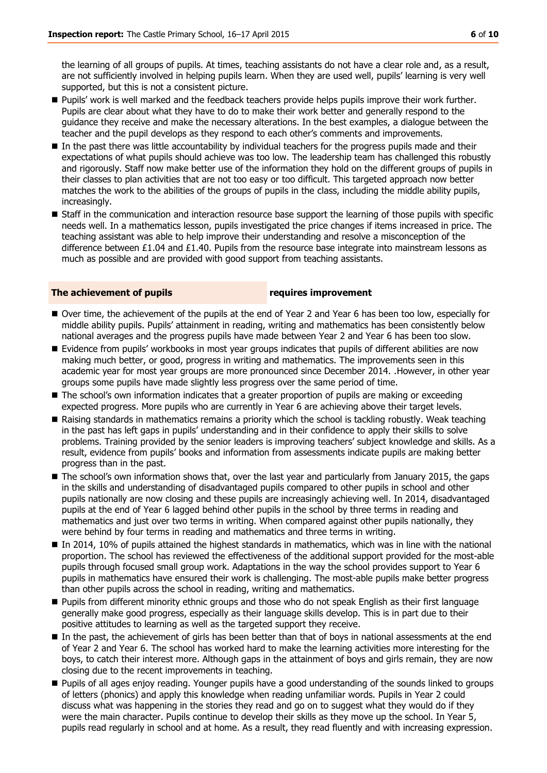the learning of all groups of pupils. At times, teaching assistants do not have a clear role and, as a result, are not sufficiently involved in helping pupils learn. When they are used well, pupils' learning is very well supported, but this is not a consistent picture.

- **Pupils' work is well marked and the feedback teachers provide helps pupils improve their work further.** Pupils are clear about what they have to do to make their work better and generally respond to the guidance they receive and make the necessary alterations. In the best examples, a dialogue between the teacher and the pupil develops as they respond to each other's comments and improvements.
- In the past there was little accountability by individual teachers for the progress pupils made and their expectations of what pupils should achieve was too low. The leadership team has challenged this robustly and rigorously. Staff now make better use of the information they hold on the different groups of pupils in their classes to plan activities that are not too easy or too difficult. This targeted approach now better matches the work to the abilities of the groups of pupils in the class, including the middle ability pupils, increasingly.
- **Staff in the communication and interaction resource base support the learning of those pupils with specific** needs well. In a mathematics lesson, pupils investigated the price changes if items increased in price. The teaching assistant was able to help improve their understanding and resolve a misconception of the difference between £1.04 and £1.40. Pupils from the resource base integrate into mainstream lessons as much as possible and are provided with good support from teaching assistants.

#### **The achievement of pupils requires improvement**

- Over time, the achievement of the pupils at the end of Year 2 and Year 6 has been too low, especially for middle ability pupils. Pupils' attainment in reading, writing and mathematics has been consistently below national averages and the progress pupils have made between Year 2 and Year 6 has been too slow.
- **E** Evidence from pupils' workbooks in most year groups indicates that pupils of different abilities are now making much better, or good, progress in writing and mathematics. The improvements seen in this academic year for most year groups are more pronounced since December 2014. .However, in other year groups some pupils have made slightly less progress over the same period of time.
- **The school's own information indicates that a greater proportion of pupils are making or exceeding** expected progress. More pupils who are currently in Year 6 are achieving above their target levels.
- Raising standards in mathematics remains a priority which the school is tackling robustly. Weak teaching in the past has left gaps in pupils' understanding and in their confidence to apply their skills to solve problems. Training provided by the senior leaders is improving teachers' subject knowledge and skills. As a result, evidence from pupils' books and information from assessments indicate pupils are making better progress than in the past.
- The school's own information shows that, over the last year and particularly from January 2015, the gaps in the skills and understanding of disadvantaged pupils compared to other pupils in school and other pupils nationally are now closing and these pupils are increasingly achieving well. In 2014, disadvantaged pupils at the end of Year 6 lagged behind other pupils in the school by three terms in reading and mathematics and just over two terms in writing. When compared against other pupils nationally, they were behind by four terms in reading and mathematics and three terms in writing.
- In 2014, 10% of pupils attained the highest standards in mathematics, which was in line with the national proportion. The school has reviewed the effectiveness of the additional support provided for the most-able pupils through focused small group work. Adaptations in the way the school provides support to Year 6 pupils in mathematics have ensured their work is challenging. The most-able pupils make better progress than other pupils across the school in reading, writing and mathematics.
- **Pupils from different minority ethnic groups and those who do not speak English as their first language** generally make good progress, especially as their language skills develop. This is in part due to their positive attitudes to learning as well as the targeted support they receive.
- In the past, the achievement of girls has been better than that of boys in national assessments at the end of Year 2 and Year 6. The school has worked hard to make the learning activities more interesting for the boys, to catch their interest more. Although gaps in the attainment of boys and girls remain, they are now closing due to the recent improvements in teaching.
- Pupils of all ages enjoy reading. Younger pupils have a good understanding of the sounds linked to groups of letters (phonics) and apply this knowledge when reading unfamiliar words. Pupils in Year 2 could discuss what was happening in the stories they read and go on to suggest what they would do if they were the main character. Pupils continue to develop their skills as they move up the school. In Year 5, pupils read regularly in school and at home. As a result, they read fluently and with increasing expression.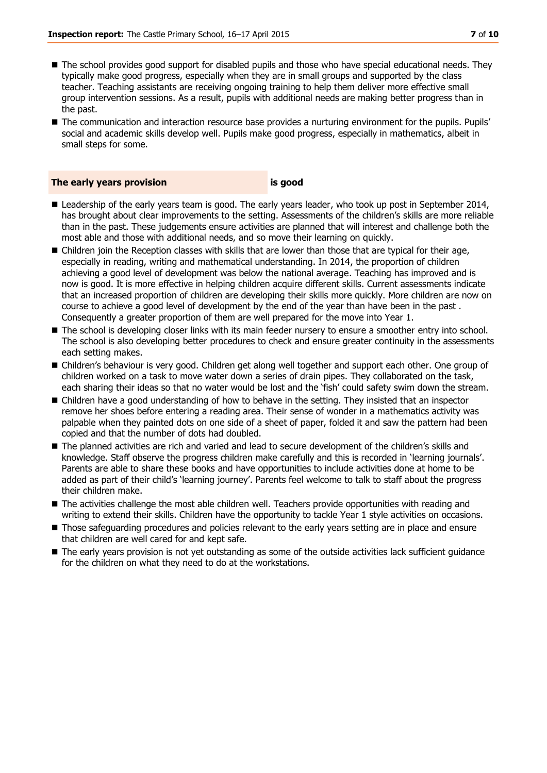- The school provides good support for disabled pupils and those who have special educational needs. They typically make good progress, especially when they are in small groups and supported by the class teacher. Teaching assistants are receiving ongoing training to help them deliver more effective small group intervention sessions. As a result, pupils with additional needs are making better progress than in the past.
- The communication and interaction resource base provides a nurturing environment for the pupils. Pupils' social and academic skills develop well. Pupils make good progress, especially in mathematics, albeit in small steps for some.

#### **The early years provision is good**

- **E** Leadership of the early years team is good. The early years leader, who took up post in September 2014, has brought about clear improvements to the setting. Assessments of the children's skills are more reliable than in the past. These judgements ensure activities are planned that will interest and challenge both the most able and those with additional needs, and so move their learning on quickly.
- Children join the Reception classes with skills that are lower than those that are typical for their age, especially in reading, writing and mathematical understanding. In 2014, the proportion of children achieving a good level of development was below the national average. Teaching has improved and is now is good. It is more effective in helping children acquire different skills. Current assessments indicate that an increased proportion of children are developing their skills more quickly. More children are now on course to achieve a good level of development by the end of the year than have been in the past . Consequently a greater proportion of them are well prepared for the move into Year 1.
- The school is developing closer links with its main feeder nursery to ensure a smoother entry into school. The school is also developing better procedures to check and ensure greater continuity in the assessments each setting makes.
- Children's behaviour is very good. Children get along well together and support each other. One group of children worked on a task to move water down a series of drain pipes. They collaborated on the task, each sharing their ideas so that no water would be lost and the 'fish' could safety swim down the stream.
- Children have a good understanding of how to behave in the setting. They insisted that an inspector remove her shoes before entering a reading area. Their sense of wonder in a mathematics activity was palpable when they painted dots on one side of a sheet of paper, folded it and saw the pattern had been copied and that the number of dots had doubled.
- The planned activities are rich and varied and lead to secure development of the children's skills and knowledge. Staff observe the progress children make carefully and this is recorded in 'learning journals'. Parents are able to share these books and have opportunities to include activities done at home to be added as part of their child's 'learning journey'. Parents feel welcome to talk to staff about the progress their children make.
- The activities challenge the most able children well. Teachers provide opportunities with reading and writing to extend their skills. Children have the opportunity to tackle Year 1 style activities on occasions.
- Those safequarding procedures and policies relevant to the early years setting are in place and ensure that children are well cared for and kept safe.
- The early years provision is not yet outstanding as some of the outside activities lack sufficient guidance for the children on what they need to do at the workstations.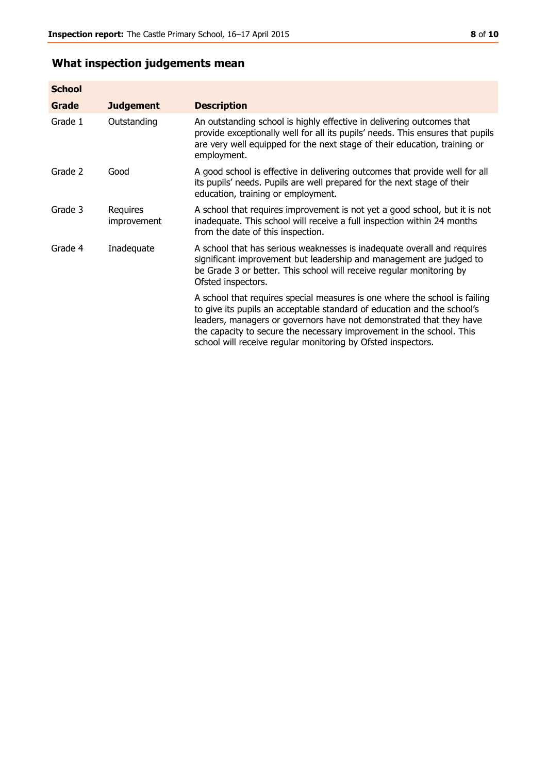# **What inspection judgements mean**

| <b>School</b> |                         |                                                                                                                                                                                                                                                                                                                                                                      |
|---------------|-------------------------|----------------------------------------------------------------------------------------------------------------------------------------------------------------------------------------------------------------------------------------------------------------------------------------------------------------------------------------------------------------------|
| Grade         | <b>Judgement</b>        | <b>Description</b>                                                                                                                                                                                                                                                                                                                                                   |
| Grade 1       | Outstanding             | An outstanding school is highly effective in delivering outcomes that<br>provide exceptionally well for all its pupils' needs. This ensures that pupils<br>are very well equipped for the next stage of their education, training or<br>employment.                                                                                                                  |
| Grade 2       | Good                    | A good school is effective in delivering outcomes that provide well for all<br>its pupils' needs. Pupils are well prepared for the next stage of their<br>education, training or employment.                                                                                                                                                                         |
| Grade 3       | Requires<br>improvement | A school that requires improvement is not yet a good school, but it is not<br>inadequate. This school will receive a full inspection within 24 months<br>from the date of this inspection.                                                                                                                                                                           |
| Grade 4       | Inadequate              | A school that has serious weaknesses is inadequate overall and requires<br>significant improvement but leadership and management are judged to<br>be Grade 3 or better. This school will receive regular monitoring by<br>Ofsted inspectors.                                                                                                                         |
|               |                         | A school that requires special measures is one where the school is failing<br>to give its pupils an acceptable standard of education and the school's<br>leaders, managers or governors have not demonstrated that they have<br>the capacity to secure the necessary improvement in the school. This<br>school will receive regular monitoring by Ofsted inspectors. |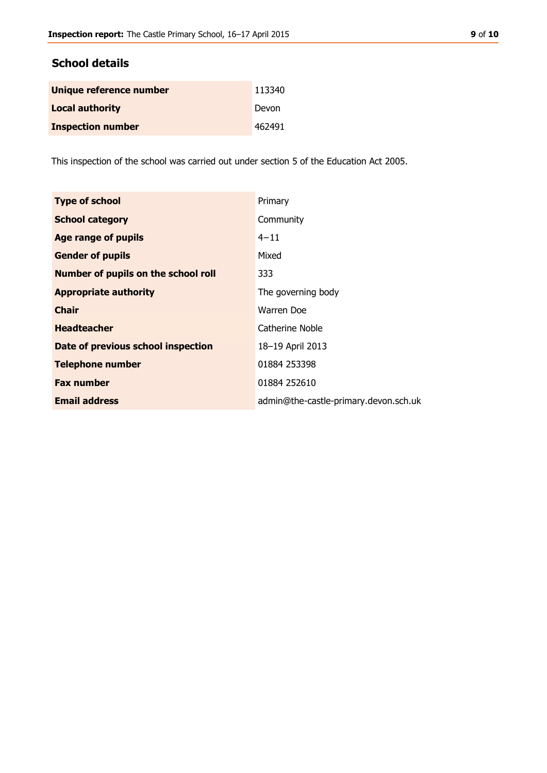# **School details**

| Unique reference number  | 113340 |
|--------------------------|--------|
| <b>Local authority</b>   | Devon  |
| <b>Inspection number</b> | 462491 |

This inspection of the school was carried out under section 5 of the Education Act 2005.

| <b>Type of school</b>                      | Primary                               |
|--------------------------------------------|---------------------------------------|
| <b>School category</b>                     | Community                             |
| <b>Age range of pupils</b>                 | $4 - 11$                              |
| <b>Gender of pupils</b>                    | Mixed                                 |
| <b>Number of pupils on the school roll</b> | 333                                   |
| <b>Appropriate authority</b>               | The governing body                    |
| <b>Chair</b>                               | Warren Doe                            |
| <b>Headteacher</b>                         | Catherine Noble                       |
| Date of previous school inspection         | 18-19 April 2013                      |
| <b>Telephone number</b>                    | 01884 253398                          |
| <b>Fax number</b>                          | 01884 252610                          |
| <b>Email address</b>                       | admin@the-castle-primary.devon.sch.uk |